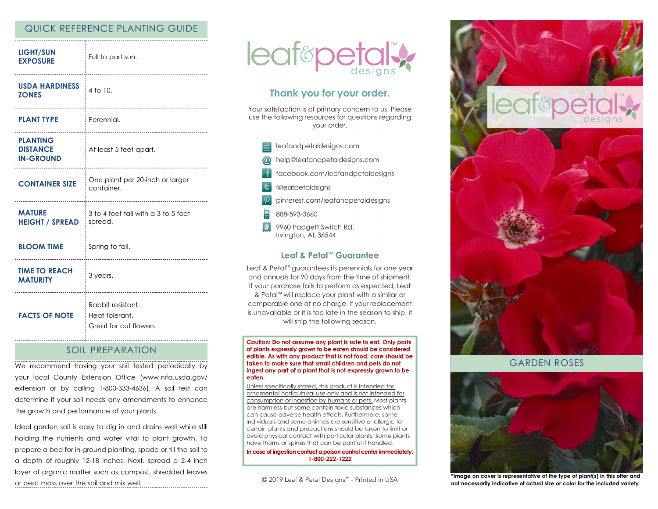## QUICK REFERENCE PLANTING GUIDE

| <b>LIGHT/SUN</b><br><b>EXPOSURE</b>                    | Full to part sun.<br>------------------------------           |
|--------------------------------------------------------|---------------------------------------------------------------|
| <b>USDA HARDINESS</b><br><b>ZONES</b>                  | 4 to 10.<br>                                                  |
| <b>PLANT TYPE</b>                                      | : Perennial.<br>----------------------------                  |
| <b>PLANTING</b><br><b>DISTANCE</b><br><b>IN-GROUND</b> | At least 5 feet apart.                                        |
| <b>CONTAINER SIZE</b>                                  | One plant per 20-inch or larger<br>container.                 |
| <b>MATURE</b><br><b>HEIGHT / SPREAD</b>                | 3 to 4 feet tall with a 3 to 5 foot<br>spread.                |
| <b>BLOOM TIME</b>                                      | Spring to fall.<br>----------------------------------         |
| <b>TIME TO REACH</b><br><b>MATURITY</b>                | 3 years.                                                      |
| <b>FACTS OF NOTE</b>                                   | Rabbit resistant.<br>Heat tolerant.<br>Great for cut flowers. |

### SOIL PREPARATION

We recommend having your soil tested periodically by your local County Extension Office (www.nifa.usda.gov/ extension or by calling 1-800-333-4636). A soil test can determine if your soil needs any amendments to enhance the growth and performance of your plants.

Ideal garden soil is easy to dig in and drains well while still holding the nutrients and water vital to plant growth. To prepare a bed for in-ground planting, spade or till the soil to a depth of roughly 12-18 inches. Next, spread a 2-4 inch layer of organic matter such as compost, shredded leaves or peat moss over the soil and mix well.



# Thank you for your order.

Your satisfaction is of primary concern to us. Please use the following resources for questions regarding vour order.

leafandpetaldesigns.com help@leafandpetaldesigns.com facebook.com/leafandpetaldesigns @leafpetaldsigns pinterest.com/leafandpetaldesigns 888-593-3660 9960 Padgett Switch Rd. Irvington, AL 36544

#### Leaf & Petal™ Guarantee

Leaf & Petal<sup>™</sup> guarantees its perennials for one year and annuals for 90 days from the time of shipment. If your purchase fails to perform as expected, Leaf & Petal™ will replace your plant with a similar or comparable one at no charge. If your replacement is unavailable or it is too late in the season to ship, it will ship the following season.

Caution: Do not assume any plant is safe to eat. Only parts of plants expressly grown to be eaten should be considered edible. As with any product that is not food, care should be taken to make sure that small children and pets do not ingest any part of a plant that is not expressly grown to be eaten.

Unless specifically stated, this product is intended for ornamental horticultural use only and is not intended for consumption or ingestion by humans or pets. Most plants are harmless but some contain toxic substances which can cause adverse health effects. Furthermore, some individuals and some animals are sensitive or allergic to certain plants and precautions should be taken to limit or avoid physical contact with particular plants. Some plants have thorns or spines that can be painful if handled.

In case of ingestion contact a poison control center immediately. 1-800-222-1222

© 2019 Leaf & Petal Designs™ - Printed in USA



GARDEN ROSES



**\*Image on cover is representative of the type of plant(s) in this offer and not necessarily indicative of actual size or color for the included variety**.